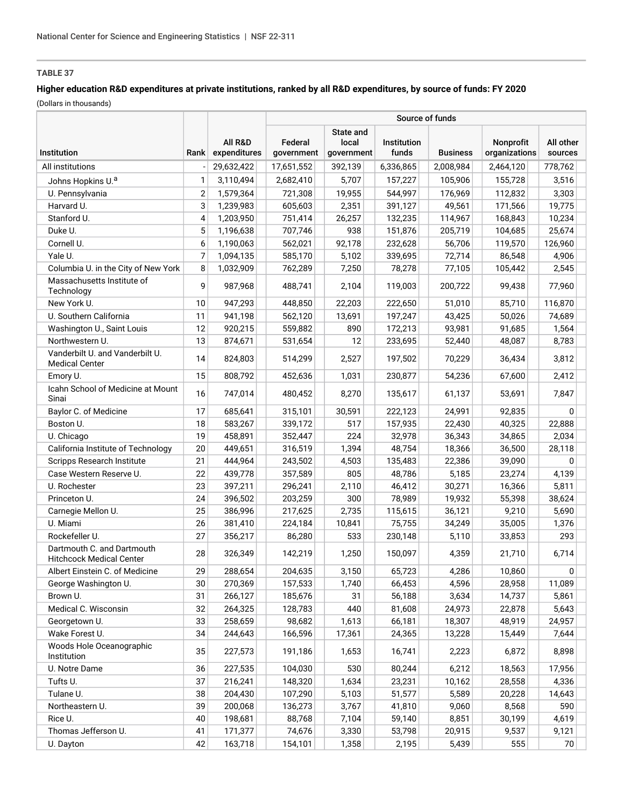## **Higher education R&D expenditures at private institutions, ranked by all R&D expenditures, by source of funds: FY 2020**

|                                                               |      |                         | Source of funds       |                                  |                      |                 |                            |                      |  |  |  |  |
|---------------------------------------------------------------|------|-------------------------|-----------------------|----------------------------------|----------------------|-----------------|----------------------------|----------------------|--|--|--|--|
| Institution                                                   | Rank | All R&D<br>expenditures | Federal<br>government | State and<br>local<br>government | Institution<br>funds | <b>Business</b> | Nonprofit<br>organizations | All other<br>sources |  |  |  |  |
| All institutions                                              |      | 29,632,422              | 17,651,552            | 392,139                          | 6,336,865            | 2,008,984       | 2,464,120                  | 778,762              |  |  |  |  |
| Johns Hopkins U. <sup>a</sup>                                 | 1    | 3,110,494               | 2,682,410             | 5,707                            | 157,227              | 105,906         | 155,728                    | 3,516                |  |  |  |  |
| U. Pennsylvania                                               | 2    | 1,579,364               | 721,308               | 19,955                           | 544,997              | 176,969         | 112,832                    | 3,303                |  |  |  |  |
| Harvard U.                                                    | 3    | 1,239,983               | 605,603               | 2,351                            | 391,127              | 49,561          | 171,566                    | 19,775               |  |  |  |  |
| Stanford U.                                                   | 4    | 1,203,950               | 751,414               | 26,257                           | 132,235              | 114,967         | 168,843                    | 10,234               |  |  |  |  |
| Duke U.                                                       | 5    | 1,196,638               | 707,746               | 938                              | 151,876              | 205,719         | 104,685                    | 25,674               |  |  |  |  |
| Cornell U.                                                    | 6    | 1,190,063               | 562,021               | 92,178                           | 232,628              | 56,706          | 119,570                    | 126,960              |  |  |  |  |
| Yale U.                                                       | 7    | 1,094,135               | 585,170               | 5,102                            | 339,695              | 72,714          | 86,548                     | 4,906                |  |  |  |  |
| Columbia U. in the City of New York                           | 8    | 1,032,909               | 762,289               | 7,250                            | 78,278               | 77,105          | 105,442                    | 2,545                |  |  |  |  |
| Massachusetts Institute of<br>Technology                      | 9    | 987,968                 | 488,741               | 2,104                            | 119,003              | 200,722         | 99,438                     | 77,960               |  |  |  |  |
| New York U.                                                   | 10   | 947,293                 | 448,850               | 22,203                           | 222,650              | 51,010          | 85,710                     | 116,870              |  |  |  |  |
| U. Southern California                                        | 11   | 941,198                 | 562,120               | 13,691                           | 197,247              | 43,425          | 50,026                     | 74,689               |  |  |  |  |
| Washington U., Saint Louis                                    | 12   | 920,215                 | 559,882               | 890                              | 172,213              | 93,981          | 91,685                     | 1,564                |  |  |  |  |
| Northwestern U.                                               | 13   | 874,671                 | 531,654               | 12                               | 233,695              | 52,440          | 48,087                     | 8,783                |  |  |  |  |
| Vanderbilt U. and Vanderbilt U.<br><b>Medical Center</b>      | 14   | 824,803                 | 514,299               | 2,527                            | 197,502              | 70,229          | 36,434                     | 3,812                |  |  |  |  |
| Emory U.                                                      | 15   | 808,792                 | 452,636               | 1,031                            | 230,877              | 54,236          | 67,600                     | 2,412                |  |  |  |  |
| Icahn School of Medicine at Mount<br>Sinai                    | 16   | 747,014                 | 480.452               | 8,270                            | 135,617              | 61,137          | 53,691                     | 7,847                |  |  |  |  |
| Baylor C. of Medicine                                         | 17   | 685,641                 | 315,101               | 30,591                           | 222,123              | 24,991          | 92,835                     | 0                    |  |  |  |  |
| Boston U.                                                     | 18   | 583,267                 | 339,172               | 517                              | 157,935              | 22,430          | 40,325                     | 22,888               |  |  |  |  |
| U. Chicago                                                    | 19   | 458,891                 | 352,447               | 224                              | 32,978               | 36,343          | 34,865                     | 2,034                |  |  |  |  |
| California Institute of Technology                            | 20   | 449,651                 | 316,519               | 1,394                            | 48,754               | 18,366          | 36,500                     | 28,118               |  |  |  |  |
| Scripps Research Institute                                    | 21   | 444,964                 | 243,502               | 4,503                            | 135,483              | 22,386          | 39,090                     | 0                    |  |  |  |  |
| Case Western Reserve U.                                       | 22   | 439,778                 | 357,589               | 805                              | 48,786               | 5,185           | 23,274                     | 4,139                |  |  |  |  |
| U. Rochester                                                  | 23   | 397,211                 | 296,241               | 2,110                            | 46,412               | 30,271          | 16,366                     | 5,811                |  |  |  |  |
| Princeton U.                                                  | 24   | 396,502                 | 203,259               | 300                              | 78,989               | 19,932          | 55,398                     | 38,624               |  |  |  |  |
| Carnegie Mellon U.                                            | 25   | 386,996                 | 217,625               | 2,735                            | 115,615              | 36,121          | 9,210                      | 5,690                |  |  |  |  |
| U. Miami                                                      | 26   | 381,410                 | 224,184               | 10,841                           | 75,755               | 34,249          | 35,005                     | 1,376                |  |  |  |  |
| Rockefeller U.                                                | 27   | 356,217                 | 86,280                | 533                              | 230,148              | 5,110           | 33,853                     | 293                  |  |  |  |  |
| Dartmouth C. and Dartmouth<br><b>Hitchcock Medical Center</b> | 28   | 326,349                 | 142,219               | 1,250                            | 150,097              | 4,359           | 21,710                     | 6,714                |  |  |  |  |
| Albert Einstein C. of Medicine                                | 29   | 288,654                 | 204,635               | 3,150                            | 65,723               | 4,286           | 10,860                     | 0                    |  |  |  |  |
| George Washington U.                                          | 30   | 270,369                 | 157,533               | 1,740                            | 66,453               | 4,596           | 28,958                     | 11,089               |  |  |  |  |
| Brown U.                                                      | 31   | 266,127                 | 185,676               | 31                               | 56,188               | 3,634           | 14,737                     | 5,861                |  |  |  |  |
| Medical C. Wisconsin                                          | 32   | 264,325                 | 128,783               | 440                              | 81,608               | 24,973          | 22,878                     | 5,643                |  |  |  |  |
| Georgetown U.                                                 | 33   | 258,659                 | 98,682                | 1,613                            | 66,181               | 18,307          | 48,919                     | 24,957               |  |  |  |  |
| Wake Forest U.                                                | 34   | 244,643                 | 166,596               | 17,361                           | 24,365               | 13,228          | 15,449                     | 7,644                |  |  |  |  |
| Woods Hole Oceanographic<br>Institution                       | 35   | 227,573                 | 191,186               | 1,653                            | 16,741               | 2,223           | 6,872                      | 8,898                |  |  |  |  |
| U. Notre Dame                                                 | 36   | 227,535                 | 104,030               | 530                              | 80,244               | 6,212           | 18,563                     | 17,956               |  |  |  |  |
| Tufts U.                                                      | 37   | 216,241                 | 148,320               | 1,634                            | 23,231               | 10,162          | 28,558                     | 4,336                |  |  |  |  |
| Tulane U.                                                     | 38   | 204,430                 | 107,290               | 5,103                            | 51,577               | 5,589           | 20,228                     | 14,643               |  |  |  |  |
| Northeastern U.                                               | 39   | 200,068                 | 136,273               | 3,767                            | 41,810               | 9,060           | 8,568                      | 590                  |  |  |  |  |
| Rice U.                                                       | 40   | 198,681                 | 88,768                | 7,104                            | 59,140               | 8,851           | 30,199                     | 4,619                |  |  |  |  |
| Thomas Jefferson U.                                           | 41   | 171,377                 | 74,676                | 3,330                            | 53,798               | 20,915          | 9,537                      | 9,121                |  |  |  |  |
| U. Dayton                                                     | 42   | 163,718                 | 154,101               | 1,358                            | 2,195                | 5,439           | 555                        | 70                   |  |  |  |  |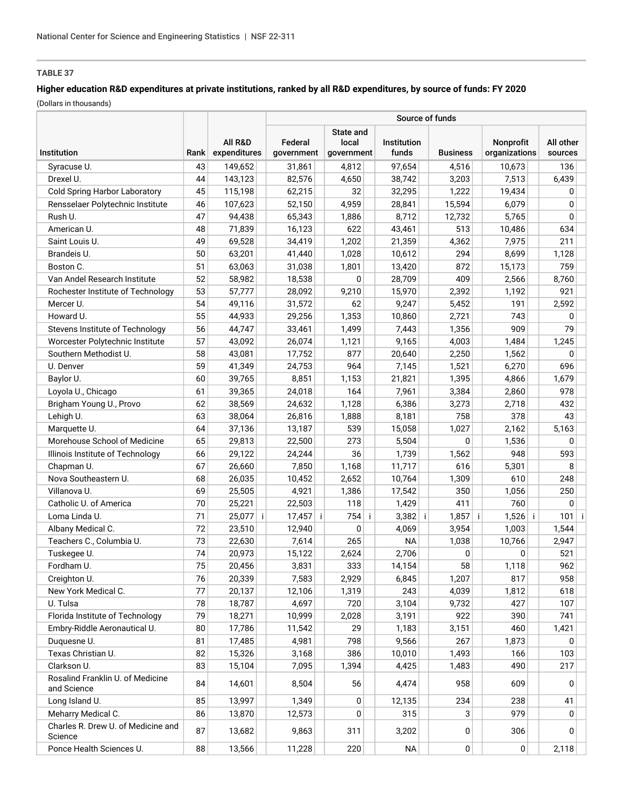# **Higher education R&D expenditures at private institutions, ranked by all R&D expenditures, by source of funds: FY 2020**

|                                                 |      |                         | Source of funds       |                                  |                             |                 |                                   |                      |  |  |  |  |
|-------------------------------------------------|------|-------------------------|-----------------------|----------------------------------|-----------------------------|-----------------|-----------------------------------|----------------------|--|--|--|--|
| Institution                                     | Rank | All R&D<br>expenditures | Federal<br>government | State and<br>local<br>government | <b>Institution</b><br>funds | <b>Business</b> | <b>Nonprofit</b><br>organizations | All other<br>sources |  |  |  |  |
| Syracuse U.                                     | 43   | 149,652                 | 31,861                | 4,812                            | 97,654                      | 4,516           | 10,673                            | 136                  |  |  |  |  |
| Drexel U.                                       | 44   | 143,123                 | 82,576                | 4,650                            | 38,742                      | 3,203           | 7,513                             | 6,439                |  |  |  |  |
| <b>Cold Spring Harbor Laboratory</b>            | 45   | 115,198                 | 62,215                | 32                               | 32,295                      | 1,222           | 19,434                            | 0                    |  |  |  |  |
| Rensselaer Polytechnic Institute                | 46   | 107,623                 | 52,150                | 4,959                            | 28,841                      | 15,594          | 6,079                             | 0                    |  |  |  |  |
| Rush U.                                         | 47   | 94,438                  | 65,343                | 1,886                            | 8,712                       | 12,732          | 5,765                             | 0                    |  |  |  |  |
| American U.                                     | 48   | 71,839                  | 16,123                | 622                              | 43,461                      | 513             | 10,486                            | 634                  |  |  |  |  |
| Saint Louis U.                                  | 49   | 69,528                  | 34,419                | 1,202                            | 21,359                      | 4,362           | 7,975                             | 211                  |  |  |  |  |
| Brandeis U.                                     | 50   | 63,201                  | 41,440                | 1,028                            | 10,612                      | 294             | 8,699                             | 1,128                |  |  |  |  |
| Boston C.                                       | 51   | 63,063                  | 31,038                | 1,801                            | 13,420                      | 872             | 15,173                            | 759                  |  |  |  |  |
| Van Andel Research Institute                    | 52   | 58,982                  | 18,538                | 0                                | 28,709                      | 409             | 2,566                             | 8,760                |  |  |  |  |
| Rochester Institute of Technology               | 53   | 57,777                  | 28,092                | 9,210                            | 15,970                      | 2,392           | 1,192                             | 921                  |  |  |  |  |
| Mercer U.                                       | 54   | 49,116                  | 31,572                | 62                               | 9,247                       | 5,452           | 191                               | 2,592                |  |  |  |  |
| Howard U.                                       | 55   | 44,933                  | 29,256                | 1,353                            | 10,860                      | 2,721           | 743                               | 0                    |  |  |  |  |
| Stevens Institute of Technology                 | 56   | 44,747                  | 33,461                | 1,499                            | 7,443                       | 1,356           | 909                               | 79                   |  |  |  |  |
| Worcester Polytechnic Institute                 | 57   | 43,092                  | 26,074                | 1,121                            | 9,165                       | 4,003           | 1,484                             | 1,245                |  |  |  |  |
| Southern Methodist U.                           | 58   | 43,081                  | 17,752                | 877                              | 20,640                      | 2,250           | 1,562                             | 0                    |  |  |  |  |
| U. Denver                                       | 59   | 41,349                  | 24,753                | 964                              | 7,145                       | 1,521           | 6,270                             | 696                  |  |  |  |  |
| Baylor U.                                       | 60   | 39,765                  | 8,851                 | 1,153                            | 21,821                      | 1,395           | 4,866                             | 1,679                |  |  |  |  |
| Loyola U., Chicago                              | 61   | 39,365                  | 24,018                | 164                              | 7,961                       | 3,384           | 2,860                             | 978                  |  |  |  |  |
| Brigham Young U., Provo                         | 62   | 38,569                  | 24,632                | 1,128                            | 6,386                       | 3,273           | 2,718                             | 432                  |  |  |  |  |
| Lehigh U.                                       | 63   | 38,064                  | 26,816                | 1,888                            | 8,181                       | 758             | 378                               | 43                   |  |  |  |  |
| Marquette U.                                    | 64   | 37,136                  | 13,187                | 539                              | 15,058                      | 1,027           | 2,162                             | 5,163                |  |  |  |  |
| Morehouse School of Medicine                    | 65   | 29,813                  | 22,500                | 273                              | 5,504                       | 0               | 1,536                             | 0                    |  |  |  |  |
| Illinois Institute of Technology                | 66   | 29,122                  | 24,244                | 36                               | 1,739                       | 1,562           | 948                               | 593                  |  |  |  |  |
| Chapman U.                                      | 67   | 26,660                  | 7,850                 | 1,168                            | 11,717                      | 616             | 5,301                             | 8                    |  |  |  |  |
| Nova Southeastern U.                            | 68   | 26,035                  | 10,452                | 2,652                            | 10,764                      | 1,309           | 610                               | 248                  |  |  |  |  |
| Villanova U.                                    | 69   | 25,505                  | 4,921                 | 1,386                            | 17,542                      | 350             | 1,056                             | 250                  |  |  |  |  |
| Catholic U. of America                          | 70   | 25,221                  | 22,503                | 118                              | 1,429                       | 411             | 760                               | $\mathbf 0$          |  |  |  |  |
| Loma Linda U.                                   | 71   | $25,077$ i              | $17,457$ i            | 754<br>-i                        | 3,382                       | $1,857$ i<br>Ť  | $1,526$ i                         | 101<br>Ξi            |  |  |  |  |
| Albany Medical C.                               | 72   | 23,510                  | 12,940                | 0                                | 4,069                       | 3,954           | 1,003                             | 1,544                |  |  |  |  |
| Teachers C., Columbia U.                        | 73   | 22,630                  | 7,614                 | 265                              | <b>NA</b>                   | 1,038           | 10,766                            | 2,947                |  |  |  |  |
| Tuskegee U.                                     | 74   | 20,973                  | 15,122                | 2,624                            | 2,706                       | 0               | 0                                 | 521                  |  |  |  |  |
| Fordham U.                                      | 75   | 20,456                  | 3,831                 | 333                              | 14,154                      | 58              | 1,118                             | 962                  |  |  |  |  |
| Creighton U.                                    | 76   | 20,339                  | 7,583                 | 2,929                            | 6,845                       | 1,207           | 817                               | 958                  |  |  |  |  |
| New York Medical C.                             | 77   | 20,137                  | 12,106                | 1,319                            | 243                         | 4,039           | 1,812                             | 618                  |  |  |  |  |
| U. Tulsa                                        | 78   | 18,787                  | 4,697                 | 720                              | 3,104                       | 9,732           | 427                               | 107                  |  |  |  |  |
| Florida Institute of Technology                 | 79   | 18,271                  | 10,999                | 2,028                            | 3,191                       | 922             | 390                               | 741                  |  |  |  |  |
| Embry-Riddle Aeronautical U.                    | 80   | 17,786                  | 11,542                | 29                               | 1,183                       | 3,151           | 460                               | 1,421                |  |  |  |  |
| Duquesne U.                                     | 81   | 17,485                  | 4,981                 | 798                              | 9,566                       | 267             | 1,873                             | 0                    |  |  |  |  |
| Texas Christian U.                              | 82   | 15,326                  | 3,168                 | 386                              | 10,010                      | 1,493           | 166                               | 103                  |  |  |  |  |
| Clarkson U.                                     | 83   | 15,104                  | 7,095                 | 1,394                            | 4,425                       | 1,483           | 490                               | 217                  |  |  |  |  |
| Rosalind Franklin U. of Medicine<br>and Science | 84   | 14,601                  | 8,504                 | 56                               | 4,474                       | 958             | 609                               | 0                    |  |  |  |  |
| Long Island U.                                  | 85   | 13,997                  | 1,349                 | 0                                | 12,135                      | 234             | 238                               | 41                   |  |  |  |  |
| Meharry Medical C.                              | 86   | 13,870                  | 12,573                | 0                                | 315                         | 3               | 979                               | 0                    |  |  |  |  |
| Charles R. Drew U. of Medicine and<br>Science   | 87   | 13,682                  | 9,863                 | 311                              | 3,202                       | 0               | 306                               | $\mathbf{0}$         |  |  |  |  |
| Ponce Health Sciences U.                        | 88   | 13,566                  | 11,228                | 220                              | <b>NA</b>                   | 0               | 0                                 | 2,118                |  |  |  |  |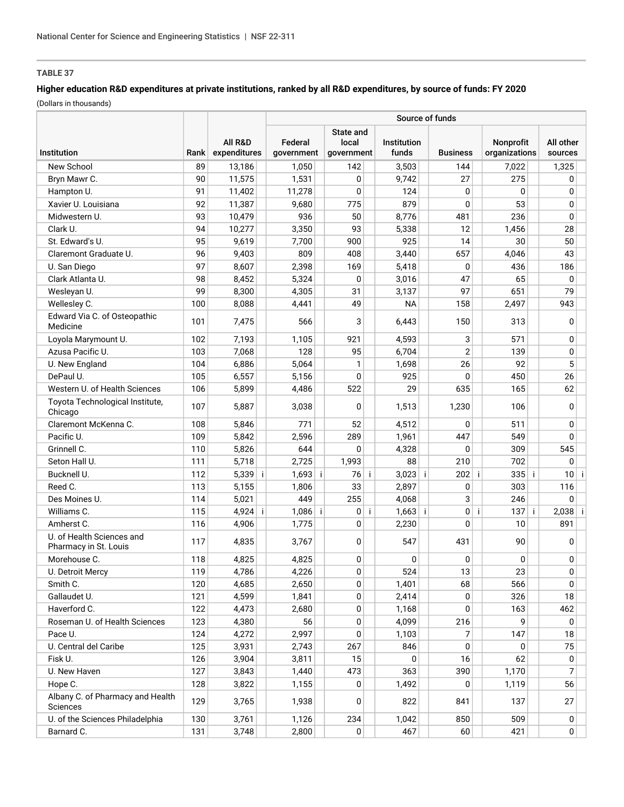## **Higher education R&D expenditures at private institutions, ranked by all R&D expenditures, by source of funds: FY 2020**

|                                                    |      |                         | Source of funds       |                                  |                      |                 |                            |                        |  |  |  |  |
|----------------------------------------------------|------|-------------------------|-----------------------|----------------------------------|----------------------|-----------------|----------------------------|------------------------|--|--|--|--|
| Institution                                        | Rank | All R&D<br>expenditures | Federal<br>government | State and<br>local<br>government | Institution<br>funds | <b>Business</b> | Nonprofit<br>organizations | All other<br>sources   |  |  |  |  |
| New School                                         | 89   | 13,186                  | 1,050                 | 142                              | 3,503                | 144             | 7,022                      | 1,325                  |  |  |  |  |
| Bryn Mawr C.                                       | 90   | 11,575                  | 1,531                 | 0                                | 9,742                | 27              | 275                        | 0                      |  |  |  |  |
| Hampton U.                                         | 91   | 11,402                  | 11,278                | 0                                | 124                  | 0               | 0                          | 0                      |  |  |  |  |
| Xavier U. Louisiana                                | 92   | 11,387                  | 9,680                 | 775                              | 879                  | 0               | 53                         | 0                      |  |  |  |  |
| Midwestern U.                                      | 93   | 10,479                  | 936                   | 50                               | 8,776                | 481             | 236                        | 0                      |  |  |  |  |
| Clark U.                                           | 94   | 10,277                  | 3,350                 | 93                               | 5,338                | 12              | 1,456                      | 28                     |  |  |  |  |
| St. Edward's U.                                    | 95   | 9,619                   | 7,700                 | 900                              | 925                  | 14              | 30                         | 50                     |  |  |  |  |
| Claremont Graduate U.                              | 96   | 9,403                   | 809                   | 408                              | 3,440                | 657             | 4,046                      | 43                     |  |  |  |  |
| U. San Diego                                       | 97   | 8,607                   | 2,398                 | 169                              | 5,418                | 0               | 436                        | 186                    |  |  |  |  |
| Clark Atlanta U.                                   | 98   | 8,452                   | 5,324                 | 0                                | 3,016                | 47              | 65                         | 0                      |  |  |  |  |
| Wesleyan U.                                        | 99   | 8,300                   | 4,305                 | 31                               | 3,137                | 97              | 651                        | 79                     |  |  |  |  |
| Wellesley C.                                       | 100  | 8,088                   | 4,441                 | 49                               | <b>NA</b>            | 158             | 2,497                      | 943                    |  |  |  |  |
| Edward Via C. of Osteopathic<br>Medicine           | 101  | 7,475                   | 566                   | 3                                | 6,443                | 150             | 313                        | 0                      |  |  |  |  |
| Loyola Marymount U.                                | 102  | 7,193                   | 1,105                 | 921                              | 4,593                | 3               | 571                        | 0                      |  |  |  |  |
| Azusa Pacific U.                                   | 103  | 7,068                   | 128                   | 95                               | 6,704                | $\overline{2}$  | 139                        | 0                      |  |  |  |  |
| U. New England                                     | 104  | 6,886                   | 5,064                 | 1                                | 1,698                | 26              | 92                         | 5                      |  |  |  |  |
| DePaul U.                                          | 105  | 6,557                   | 5,156                 | 0                                | 925                  | 0               | 450                        | 26                     |  |  |  |  |
| Western U. of Health Sciences                      | 106  | 5,899                   | 4,486                 | 522                              | 29                   | 635             | 165                        | 62                     |  |  |  |  |
| Toyota Technological Institute,                    | 107  | 5,887                   | 3,038                 | $\Omega$                         | 1,513                | 1,230           | 106                        | 0                      |  |  |  |  |
| Chicago<br>Claremont McKenna C.                    | 108  |                         | 771                   | 52                               |                      | 0               | 511                        | 0                      |  |  |  |  |
| Pacific U.                                         |      | 5,846                   |                       |                                  | 4,512                | 447             | 549                        |                        |  |  |  |  |
| Grinnell C.                                        | 109  | 5,842                   | 2,596                 | 289                              | 1,961                |                 |                            | 0                      |  |  |  |  |
| Seton Hall U.                                      | 110  | 5,826                   | 644                   | 0                                | 4,328<br>88          | 0               | 309                        | 545                    |  |  |  |  |
|                                                    | 111  | 5,718                   | 2,725                 | 1,993                            |                      | 210             | 702                        | $\mathbf{0}$           |  |  |  |  |
| Bucknell U.                                        | 112  | 5,339<br>÷i             | $1,693$ i             | 76<br>-i                         | 3,023                | 202<br>-i       | $335$ i<br>÷               | 10 <sup>1</sup><br>-İ. |  |  |  |  |
| Reed C.                                            | 113  | 5,155                   | 1,806                 | 33                               | 2,897                | 0               | 303                        | 116                    |  |  |  |  |
| Des Moines U.                                      | 114  | 5,021                   | 449                   | 255                              | 4,068                | 3               | 246                        | 0                      |  |  |  |  |
| Williams C.                                        | 115  | 4,924<br>÷              | $1,086$ i             | 0                                | ÷<br>$1,663$ i       | 0               | 137<br>j.<br>÷             | $2,038$ i              |  |  |  |  |
| Amherst C.                                         | 116  | 4,906                   | 1,775                 | 0                                | 2,230                | $\mathbf{0}$    | 10                         | 891                    |  |  |  |  |
| U. of Health Sciences and<br>Pharmacy in St. Louis | 117  | 4,835                   | 3,767                 | 0                                | 547                  | 431             | 90                         | 0                      |  |  |  |  |
| Morehouse C.                                       | 118  | 4,825                   | 4,825                 | 0                                | 0                    | 0               | 0                          | $\mathbf 0$            |  |  |  |  |
| U. Detroit Mercy                                   | 119  | 4,786                   | 4,226                 | 0                                | 524                  | 13              | 23                         | 0                      |  |  |  |  |
| Smith C.                                           | 120  | 4,685                   | 2,650                 | 0                                | 1,401                | 68              | 566                        | 0                      |  |  |  |  |
| Gallaudet U.                                       | 121  | 4,599                   | 1,841                 | 0                                | 2,414                | 0               | 326                        | 18                     |  |  |  |  |
| Haverford C.                                       | 122  | 4,473                   | 2,680                 | 0                                | 1,168                | 0               | 163                        | 462                    |  |  |  |  |
| Roseman U. of Health Sciences                      | 123  | 4,380                   | 56                    | 0                                | 4,099                | 216             | 9                          | 0                      |  |  |  |  |
| Pace U.                                            | 124  | 4,272                   | 2,997                 | 0                                | 1,103                | 7               | 147                        | 18                     |  |  |  |  |
| U. Central del Caribe                              | 125  | 3,931                   | 2,743                 | 267                              | 846                  | 0               | 0                          | 75                     |  |  |  |  |
| Fisk U.                                            | 126  | 3,904                   | 3,811                 | 15                               | 0                    | 16              | 62                         | 0                      |  |  |  |  |
| U. New Haven                                       | 127  | 3,843                   | 1,440                 | 473                              | 363                  | 390             | 1,170                      | 7                      |  |  |  |  |
| Hope C.                                            | 128  | 3,822                   | 1,155                 | 0                                | 1,492                | 0               | 1,119                      | 56                     |  |  |  |  |
| Albany C. of Pharmacy and Health<br>Sciences       | 129  | 3,765                   | 1,938                 | 0                                | 822                  | 841             | 137                        | 27                     |  |  |  |  |
| U. of the Sciences Philadelphia                    | 130  | 3,761                   | 1,126                 | 234                              | 1,042                | 850             | 509                        | 0                      |  |  |  |  |
| Barnard C.                                         | 131  | 3,748                   | 2,800                 | 0                                | 467                  | 60              | 421                        | $\overline{0}$         |  |  |  |  |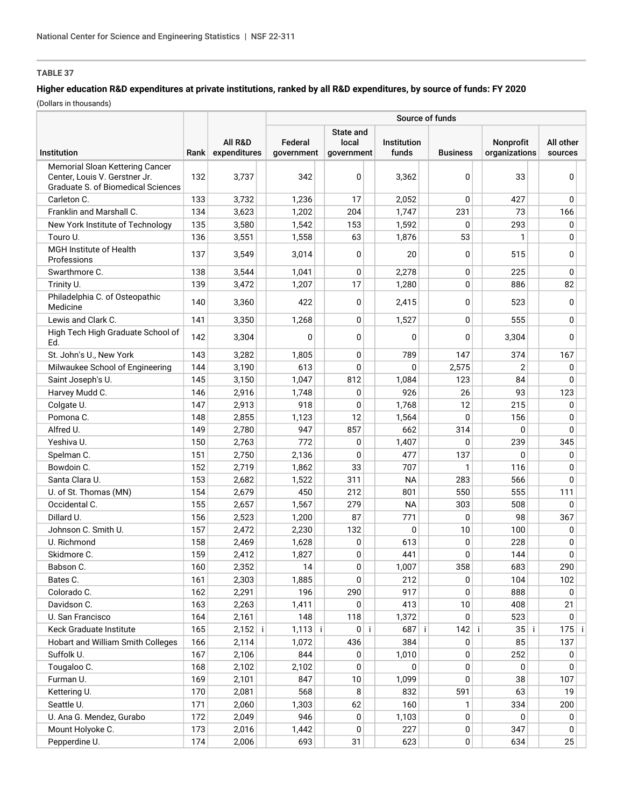### **Higher education R&D expenditures at private institutions, ranked by all R&D expenditures, by source of funds: FY 2020**

|                                                                                                               |      |                         | Source of funds       |                                  |     |                      |  |                 |                            |  |                      |  |  |
|---------------------------------------------------------------------------------------------------------------|------|-------------------------|-----------------------|----------------------------------|-----|----------------------|--|-----------------|----------------------------|--|----------------------|--|--|
| Institution                                                                                                   | Rank | All R&D<br>expenditures | Federal<br>government | State and<br>local<br>government |     | Institution<br>funds |  | <b>Business</b> | Nonprofit<br>organizations |  | All other<br>sources |  |  |
| Memorial Sloan Kettering Cancer<br>Center. Louis V. Gerstner Jr.<br><b>Graduate S. of Biomedical Sciences</b> | 132  | 3,737                   | 342                   |                                  | 0   | 3,362                |  | 0               | 33                         |  | 0                    |  |  |
| Carleton C.                                                                                                   | 133  | 3,732                   | 1,236                 |                                  | 17  | 2,052                |  | 0               | 427                        |  | 0                    |  |  |
| Franklin and Marshall C.                                                                                      | 134  | 3,623                   | 1,202                 | 204                              |     | 1,747                |  | 231             | 73                         |  | 166                  |  |  |
| New York Institute of Technology                                                                              | 135  | 3,580                   | 1,542                 | 153                              |     | 1,592                |  | 0               | 293                        |  | $\mathbf 0$          |  |  |
| Touro U.                                                                                                      | 136  | 3,551                   | 1,558                 |                                  | 63  | 1,876                |  | 53              | $\mathbf{1}$               |  | $\mathbf{0}$         |  |  |
| MGH Institute of Health<br>Professions                                                                        | 137  | 3,549                   | 3,014                 |                                  | 0   | 20                   |  | 0               | 515                        |  | 0                    |  |  |
| Swarthmore C.                                                                                                 | 138  | 3,544                   | 1,041                 |                                  | 0   | 2,278                |  | 0               | 225                        |  | 0                    |  |  |
| Trinity U.                                                                                                    | 139  | 3,472                   | 1,207                 |                                  | 17  | 1,280                |  | 0               | 886                        |  | 82                   |  |  |
| Philadelphia C. of Osteopathic<br>Medicine                                                                    | 140  | 3,360                   | 422                   |                                  | 0   | 2,415                |  | 0               | 523                        |  | $\mathbf{0}$         |  |  |
| Lewis and Clark C.                                                                                            | 141  | 3,350                   | 1,268                 |                                  | 0   | 1,527                |  | 0               | 555                        |  | 0                    |  |  |
| High Tech High Graduate School of<br>Ed.                                                                      | 142  | 3,304                   | $\Omega$              |                                  | 0   | 0                    |  | 0               | 3,304                      |  | 0                    |  |  |
| St. John's U., New York                                                                                       | 143  | 3,282                   | 1,805                 |                                  | 0   | 789                  |  | 147             | 374                        |  | 167                  |  |  |
| Milwaukee School of Engineering                                                                               | 144  | 3,190                   | 613                   |                                  | 0   | 0                    |  | 2,575           | $\overline{2}$             |  | $\mathbf 0$          |  |  |
| Saint Joseph's U.                                                                                             | 145  | 3,150                   | 1,047                 | 812                              |     | 1,084                |  | 123             | 84                         |  | 0                    |  |  |
| Harvey Mudd C.                                                                                                | 146  | 2,916                   | 1,748                 |                                  | 0   | 926                  |  | 26              | 93                         |  | 123                  |  |  |
| Colgate U.                                                                                                    | 147  | 2,913                   | 918                   |                                  | 0   | 1,768                |  | 12              | 215                        |  | 0                    |  |  |
| Pomona C.                                                                                                     | 148  | 2,855                   | 1,123                 |                                  | 12  | 1,564                |  | 0               | 156                        |  | 0                    |  |  |
| Alfred U.                                                                                                     | 149  | 2,780                   | 947                   | 857                              |     | 662                  |  | 314             | 0                          |  | 0                    |  |  |
| Yeshiva U.                                                                                                    | 150  | 2,763                   | 772                   |                                  | 0   | 1,407                |  | 0               | 239                        |  | 345                  |  |  |
| Spelman C.                                                                                                    | 151  | 2,750                   | 2,136                 |                                  | 0   | 477                  |  | 137             | 0                          |  | 0                    |  |  |
| Bowdoin C.                                                                                                    | 152  | 2,719                   | 1,862                 |                                  | 33  | 707                  |  | 1               | 116                        |  | 0                    |  |  |
| Santa Clara U.                                                                                                | 153  | 2,682                   | 1,522                 | 311                              |     | <b>NA</b>            |  | 283             | 566                        |  | 0                    |  |  |
| U. of St. Thomas (MN)                                                                                         | 154  | 2,679                   | 450                   | 212                              |     | 801                  |  | 550             | 555                        |  | 111                  |  |  |
| Occidental C.                                                                                                 | 155  | 2,657                   | 1,567                 | 279                              |     | <b>NA</b>            |  | 303             | 508                        |  | 0                    |  |  |
| Dillard U.                                                                                                    | 156  | 2,523                   | 1,200                 |                                  | 87  | 771                  |  | 0               | 98                         |  | 367                  |  |  |
| Johnson C. Smith U.                                                                                           | 157  | 2,472                   | 2,230                 | 132                              |     | 0                    |  | 10              | 100                        |  | $\mathbf 0$          |  |  |
| U. Richmond                                                                                                   | 158  | 2,469                   | 1,628                 |                                  | 0   | 613                  |  | 0               | 228                        |  | 0                    |  |  |
| Skidmore C.                                                                                                   | 159  | 2,412                   | 1,827                 |                                  | 0   | 441                  |  | 0               | 144                        |  | 0                    |  |  |
| Babson C.                                                                                                     | 160  | 2,352                   | 14                    |                                  | 0   | 1,007                |  | 358             | 683                        |  | 290                  |  |  |
| Bates C.                                                                                                      | 161  | 2,303                   | 1,885                 |                                  | 0   | 212                  |  | 0               | 104                        |  | 102                  |  |  |
| Colorado C.                                                                                                   | 162  | 2,291                   | 196                   | 290                              |     | 917                  |  | 0               | 888                        |  | $\mathbf{0}$         |  |  |
| Davidson C.                                                                                                   | 163  | 2,263                   | 1,411                 |                                  | 0   | 413                  |  | 10              | 408                        |  | 21                   |  |  |
| U. San Francisco                                                                                              | 164  | 2,161                   | 148                   | 118                              |     | 1,372                |  | 0               | 523                        |  | 0                    |  |  |
| Keck Graduate Institute                                                                                       | 165  | 2,152 i                 | $1,113$ i             |                                  | 0 i | $687$ i              |  | $142$ i         | $35$ i                     |  | $175$ i              |  |  |
| Hobart and William Smith Colleges                                                                             | 166  | 2,114                   | 1,072                 | 436                              |     | 384                  |  | 0               | 85                         |  | 137                  |  |  |
| Suffolk U.                                                                                                    | 167  | 2,106                   | 844                   |                                  | 0   | 1,010                |  | 0               | 252                        |  | 0                    |  |  |
| Tougaloo C.                                                                                                   | 168  | 2,102                   | 2,102                 |                                  | 0   | 0                    |  | 0               | 0                          |  | 0                    |  |  |
| Furman U.                                                                                                     | 169  | 2,101                   | 847                   |                                  | 10  | 1,099                |  | 0               | 38                         |  | 107                  |  |  |
| Kettering U.                                                                                                  | 170  | 2,081                   | 568                   |                                  | 8   | 832                  |  | 591             | 63                         |  | 19                   |  |  |
| Seattle U.                                                                                                    | 171  | 2,060                   | 1,303                 |                                  | 62  | 160                  |  | 1               | 334                        |  | 200                  |  |  |
| U. Ana G. Mendez, Gurabo                                                                                      | 172  | 2,049                   | 946                   |                                  | 0   | 1,103                |  | 0               | 0                          |  | 0                    |  |  |
| Mount Holyoke C.                                                                                              | 173  | 2,016                   | 1,442                 |                                  | 0   | 227                  |  | 0               | 347                        |  | 0                    |  |  |
| Pepperdine U.                                                                                                 | 174  | 2,006                   | 693                   |                                  | 31  | 623                  |  | 0               | 634                        |  | 25                   |  |  |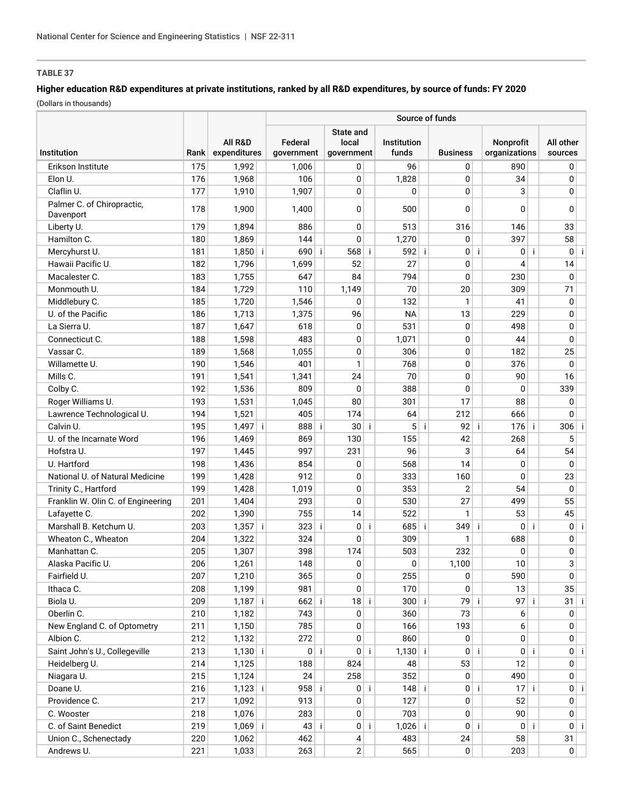## **Higher education R&D expenditures at private institutions, ranked by all R&D expenditures, by source of funds: FY 2020**

|                                    |      |                         | Source of funds |                       |              |                                  |             |                      |     |                 |    |                                   |    |                      |      |
|------------------------------------|------|-------------------------|-----------------|-----------------------|--------------|----------------------------------|-------------|----------------------|-----|-----------------|----|-----------------------------------|----|----------------------|------|
| Institution                        | Rank | All R&D<br>expenditures |                 | Federal<br>government |              | State and<br>local<br>government |             | Institution<br>funds |     | <b>Business</b> |    | <b>Nonprofit</b><br>organizations |    | All other<br>sources |      |
| Erikson Institute                  | 175  | 1,992                   |                 | 1,006                 |              | 0                                |             | 96                   |     | 0               |    | 890                               |    | $\mathbf{0}$         |      |
| Elon U.                            | 176  | 1,968                   |                 | 106                   |              | 0                                |             | 1,828                |     | 0               |    | 34                                |    | $\mathbf{0}$         |      |
| Claflin U.                         | 177  | 1,910                   |                 | 1,907                 |              | $\Omega$                         |             | $\Omega$             |     | $\Omega$        |    | 3                                 |    | $\mathbf 0$          |      |
| Palmer C. of Chiropractic,         |      |                         |                 |                       |              |                                  |             |                      |     |                 |    |                                   |    |                      |      |
| Davenport                          | 178  | 1,900                   |                 | 1,400                 |              | 0                                |             | 500                  |     | 0               |    | 0                                 |    | 0                    |      |
| Liberty U.                         | 179  | 1,894                   |                 | 886                   |              | 0                                |             | 513                  |     | 316             |    | 146                               |    | 33                   |      |
| Hamilton C.                        | 180  | 1,869                   |                 | 144                   |              | 0                                |             | 1,270                |     | 0               |    | 397                               |    | 58                   |      |
| Mercyhurst U.                      | 181  | 1,850                   | -i              | 690                   | $\mathbf{i}$ | 568                              | Ť           | 592                  | j.  | $\mathbf{0}$    | Ť  | 0 <sup>1</sup>                    | j. | 0 <sup>1</sup>       | -i l |
| Hawaii Pacific U.                  | 182  | 1,796                   |                 | 1,699                 |              | 52                               |             | 27                   |     | 0               |    | 4                                 |    | 14                   |      |
| Macalester C.                      | 183  | 1,755                   |                 | 647                   |              | 84                               |             | 794                  |     | 0               |    | 230                               |    | 0                    |      |
| Monmouth U.                        | 184  | 1,729                   |                 | 110                   |              | 1,149                            |             | 70                   |     | 20              |    | 309                               |    | 71                   |      |
| Middlebury C.                      | 185  | 1,720                   |                 | 1,546                 |              | $\Omega$                         |             | 132                  |     | 1               |    | 41                                |    | 0                    |      |
| U. of the Pacific                  | 186  | 1,713                   |                 | 1,375                 |              | 96                               |             | <b>NA</b>            |     | 13              |    | 229                               |    | $\mathbf 0$          |      |
| La Sierra U.                       | 187  | 1,647                   |                 | 618                   |              | 0                                |             | 531                  |     | 0               |    | 498                               |    | $\mathbf 0$          |      |
| Connecticut C.                     | 188  | 1,598                   |                 | 483                   |              | 0                                |             | 1,071                |     | 0               |    | 44                                |    | 0                    |      |
| Vassar C.                          | 189  | 1,568                   |                 | 1,055                 |              | 0                                |             | 306                  |     | 0               |    | 182                               |    | 25                   |      |
| Willamette U.                      | 190  | 1,546                   |                 | 401                   |              | 1                                |             | 768                  |     | 0               |    | 376                               |    | 0                    |      |
| Mills C.                           | 191  | 1,541                   |                 | 1,341                 |              | 24                               |             | 70                   |     | 0               |    | 90                                |    | 16                   |      |
| Colby C.                           | 192  | 1,536                   |                 | 809                   |              | $\Omega$                         |             | 388                  |     | $\mathbf{0}$    |    | 0                                 |    | 339                  |      |
| Roger Williams U.                  | 193  | 1,531                   |                 | 1,045                 |              | 80                               |             | 301                  |     | 17              |    | 88                                |    | 0                    |      |
| Lawrence Technological U.          | 194  | 1,521                   |                 | 405                   |              | 174                              |             | 64                   |     | 212             |    | 666                               |    | $\Omega$             |      |
| Calvin U.                          | 195  | $1,497$ i               |                 | 888                   | -i           | 30                               | -i          | 5 <sup>1</sup>       | -i- | 92              | ÷  | 176                               | j  | 306                  |      |
| U. of the Incarnate Word           | 196  | 1,469                   |                 | 869                   |              | 130                              |             | 155                  |     | 42              |    | 268                               |    | 5                    |      |
| Hofstra U.                         | 197  | 1,445                   |                 | 997                   |              | 231                              |             | 96                   |     | 3               |    | 64                                |    | 54                   |      |
| U. Hartford                        | 198  | 1,436                   |                 | 854                   |              | 0                                |             | 568                  |     | 14              |    | 0                                 |    | 0                    |      |
| National U. of Natural Medicine    | 199  | 1,428                   |                 | 912                   |              | 0                                |             | 333                  |     | 160             |    | 0                                 |    | 23                   |      |
| Trinity C., Hartford               | 199  | 1,428                   |                 | 1,019                 |              | 0                                |             | 353                  |     | $\overline{2}$  |    | 54                                |    | 0                    |      |
| Franklin W. Olin C. of Engineering | 201  | 1,404                   |                 | 293                   |              | 0                                |             | 530                  |     | 27              |    | 499                               |    | 55                   |      |
| Lafayette C.                       | 202  | 1,390                   |                 | 755                   |              | 14                               |             | 522                  |     | 1               |    | 53                                |    | 45                   |      |
| Marshall B. Ketchum U.             | 203  | 1,357                   | j.              | 323                   | j.           | 0                                | $\mathbf i$ | 685                  | ÷   | 349             | j. | $\overline{0}$                    | j  | 0                    | -i   |
| Wheaton C., Wheaton                | 204  | 1,322                   |                 | 324                   |              | 0                                |             | 309                  |     | 1               |    | 688                               |    | 0                    |      |
| Manhattan C.                       | 205  | 1,307                   |                 | 398                   |              | 174                              |             | 503                  |     | 232             |    | 0                                 |    | 0                    |      |
| Alaska Pacific U.                  | 206  | 1,261                   |                 | 148                   |              | 0                                |             | 0                    |     | 1,100           |    | 10                                |    | 3                    |      |
| Fairfield U.                       | 207  | 1,210                   |                 | 365                   |              | 0                                |             | 255                  |     | 0               |    | 590                               |    | 0                    |      |
| Ithaca C.                          | 208  | 1,199                   |                 | 981                   |              | 0                                |             | 170                  |     | 0               |    | 13                                |    | 35                   |      |
| Biola U.                           | 209  | 1,187 i                 |                 | $662$ i               |              | 18                               | -i          | $300$ i              |     | 79 i            |    | 97                                | j. | 31                   | -İ.  |
| Oberlin C.                         | 210  | 1,182                   |                 | 743                   |              | 0                                |             | 360                  |     | 73              |    | 6                                 |    | 0                    |      |
| New England C. of Optometry        | 211  | 1,150                   |                 | 785                   |              | 0                                |             | 166                  |     | 193             |    | 6                                 |    | $\mathbf 0$          |      |
| Albion C.                          | 212  | 1,132                   |                 | 272                   |              | 0                                |             | 860                  |     | 0               |    | 0                                 |    | 0                    |      |
| Saint John's U., Collegeville      | 213  | $1,130$ i               |                 |                       | 0 i          | 0 <sup>1</sup>                   | -i          | $1,130$ i            |     | $\overline{0}$  | j. | 0 i                               |    | $\overline{0}$       | -i l |
| Heidelberg U.                      | 214  | 1,125                   |                 | 188                   |              | 824                              |             | 48                   |     | 53              |    | 12                                |    | 0                    |      |
| Niagara U.                         | 215  | 1,124                   |                 | 24                    |              | 258                              |             | 352                  |     | 0               |    | 490                               |    | $\mathbf 0$          |      |
| Doane U.                           | 216  | $1,123$ i               |                 | $958$ i               |              | 0 <sup>1</sup>                   | -i-         | $148$ i              |     | 0 <sup>1</sup>  | ÷  | $17$ i                            |    | 0 i                  |      |
| Providence C.                      | 217  | 1,092                   |                 | 913                   |              | 0                                |             | 127                  |     | 0               |    | 52                                |    | $\mathbf 0$          |      |
| C. Wooster                         | 218  | 1,076                   |                 | 283                   |              | 0                                |             | 703                  |     | 0               |    | 90                                |    | 0                    |      |
| C. of Saint Benedict               | 219  | 1,069                   | -i              | 43 i                  |              | 0 <sup>1</sup>                   | -i          | $1,026$ i            |     | 0 <sup>1</sup>  | ÷  | 0 <sup>1</sup>                    | j. | 0 i                  |      |
| Union C., Schenectady              | 220  | 1,062                   |                 | 462                   |              | 4                                |             | 483                  |     | 24              |    | 58                                |    | 31                   |      |
| Andrews U.                         | 221  | 1,033                   |                 | 263                   |              | 2                                |             | 565                  |     | $\mathbf 0$     |    | 203                               |    | $\overline{0}$       |      |
|                                    |      |                         |                 |                       |              |                                  |             |                      |     |                 |    |                                   |    |                      |      |